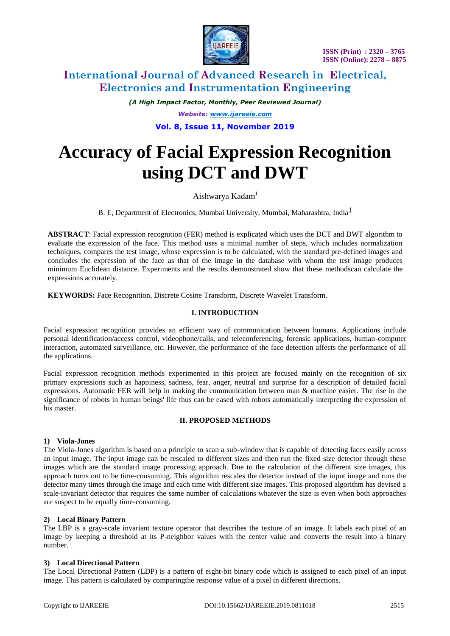

 **ISSN (Print) : 2320 – 3765 ISSN (Online): 2278 – 8875**

# **International Journal of Advanced Research in Electrical, Electronics and Instrumentation Engineering**

*(A High Impact Factor, Monthly, Peer Reviewed Journal) Website: [www.ijareeie.com](http://www.ijareeie.com/)* **Vol. 8, Issue 11, November 2019**

# **Accuracy of Facial Expression Recognition using DCT and DWT**

# Aishwarya Kadam<sup>1</sup>

B. E, Department of Electronics, Mumbai University, Mumbai, Maharashtra, India1

**ABSTRACT**: Facial expression recognition (FER) method is explicated which uses the DCT and DWT algorithm to evaluate the expression of the face. This method uses a minimal number of steps, which includes normalization techniques, compares the test image, whose expression is to be calculated, with the standard pre-defined images and concludes the expression of the face as that of the image in the database with whom the test image produces minimum Euclidean distance. Experiments and the results demonstrated show that these methodscan calculate the expressions accurately.

**KEYWORDS:** Face Recognition, Discrete Cosine Transform, Discrete Wavelet Transform.

# **I. INTRODUCTION**

Facial expression recognition provides an efficient way of communication between humans. Applications include personal identification/access control, videophone/calls, and teleconferencing, forensic applications, human-computer interaction, automated surveillance, etc. However, the performance of the face detection affects the performance of all the applications.

Facial expression recognition methods experimented in this project are focused mainly on the recognition of six primary expressions such as happiness, sadness, fear, anger, neutral and surprise for a description of detailed facial expressions. Automatic FER will help in making the communication between man & machine easier. The rise in the significance of robots in human beings' life thus can be eased with robots automatically interpreting the expression of his master.

# **II. PROPOSED METHODS**

# **1) Viola-Jones**

The Viola-Jones algorithm is based on a principle to scan a sub-window that is capable of detecting faces easily across an input image. The input image can be rescaled to different sizes and then run the fixed size detector through these images which are the standard image processing approach. Due to the calculation of the different size images, this approach turns out to be time-consuming. This algorithm rescales the detector instead of the input image and runs the detector many times through the image and each time with different size images. This proposed algorithm has devised a scale-invariant detector that requires the same number of calculations whatever the size is even when both approaches are suspect to be equally time-consuming.

# **2) Local Binary Pattern**

The LBP is a gray-scale invariant texture operator that describes the texture of an image. It labels each pixel of an image by keeping a threshold at its P-neighbor values with the center value and converts the result into a binary number.

# **3) Local Directional Pattern**

The Local Directional Pattern (LDP) is a pattern of eight-bit binary code which is assigned to each pixel of an input image. This pattern is calculated by comparingthe response value of a pixel in different directions.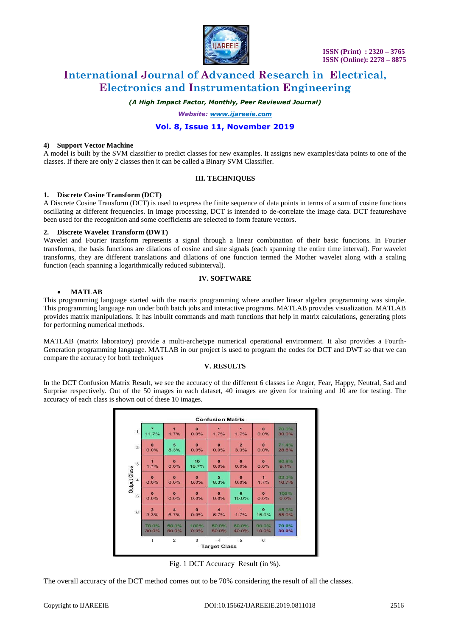

# **International Journal of Advanced Research in Electrical, Electronics and Instrumentation Engineering**

*(A High Impact Factor, Monthly, Peer Reviewed Journal)*

*Website: [www.ijareeie.com](http://www.ijareeie.com/)*

# **Vol. 8, Issue 11, November 2019**

#### **4) Support Vector Machine**

A model is built by the SVM classifier to predict classes for new examples. It assigns new examples/data points to one of the classes. If there are only 2 classes then it can be called a Binary SVM Classifier.

#### **III. TECHNIQUES**

#### **1. Discrete Cosine Transform (DCT)**

A Discrete Cosine Transform (DCT) is used to express the finite sequence of data points in terms of a sum of cosine functions oscillating at different frequencies. In image processing, DCT is intended to de-correlate the image data. DCT featureshave been used for the recognition and some coefficients are selected to form feature vectors.

#### **2. Discrete Wavelet Transform (DWT)**

Wavelet and Fourier transform represents a signal through a linear combination of their basic functions. In Fourier transforms, the basis functions are dilations of cosine and sine signals (each spanning the entire time interval). For wavelet transforms, they are different translations and dilations of one function termed the Mother wavelet along with a scaling function (each spanning a logarithmically reduced subinterval).

#### **IV. SOFTWARE**

#### **MATLAB**

This programming language started with the matrix programming where another linear algebra programming was simple. This programming language run under both batch jobs and interactive programs. MATLAB provides visualization. MATLAB provides matrix manipulations. It has inbuilt commands and math functions that help in matrix calculations, generating plots for performing numerical methods.

MATLAB (matrix laboratory) provide a multi-archetype numerical operational environment. It also provides a Fourth-Generation programming language. MATLAB in our project is used to program the codes for DCT and DWT so that we can compare the accuracy for both techniques

#### **V. RESULTS**

In the DCT Confusion Matrix Result, we see the accuracy of the different 6 classes i.e Anger, Fear, Happy, Neutral, Sad and Surprise respectively. Out of the 50 images in each dataset, 40 images are given for training and 10 are for testing. The accuracy of each class is shown out of these 10 images.

| 11.7%                   | а<br>1.7%               | $\theta$<br>0.0% | п<br>1.7%                   | $\blacksquare$<br>1.7%  | $\bullet$<br>0.0%    | 70.0%<br>30.0% |
|-------------------------|-------------------------|------------------|-----------------------------|-------------------------|----------------------|----------------|
| $\theta$                | 5                       | $\bullet$        | $\bullet$                   | $\overline{\mathbf{2}}$ | $\bullet$            | 71.4%          |
| 0.0%                    | 8.3%                    | 0.0%             | 0.0%                        | 3.3%                    | 0.0%                 | 28.6%          |
| 1.7%                    | $\theta$<br>0.0%        | 10<br>16.7%      | $\Omega$<br>0.0%            | $\bullet$<br>0.0%       | $\Omega$<br>0.0%     | 90.9%<br>9.1%  |
| $\theta$                | $\theta$                | $\theta$         | 5                           | $\theta$                | $\blacktriangleleft$ | 83.3%          |
| 0.0%                    | 0.0%                    | 0.0%             | 8.3%                        | 0.0%                    | 1.7%                 | 16.7%          |
| $\bullet$               | $\Omega$                | $\bullet$        | $\Omega$                    | 6                       | $\bullet$            | 100%           |
| 0.0%                    | 0.0%                    | 0.0%             | 0.0%                        | 10.0%                   | 0.0%                 | 0.0%           |
| $\overline{\mathbf{2}}$ | $\overline{\mathbf{4}}$ | $\Omega$         | $\overline{4}$              | $\blacksquare$          | $\mathbf{9}$         | 45.0%          |
| 3.3%                    | 6.7%                    | 0.0%             | 6.7%                        | 1.7%                    | 15.0%                | 55.0%          |
| 70.0%                   | 50.0%                   | 100%             | 50.0%                       | 60.0%                   | 90.0%                | 70.0%          |
| 30.0%                   | 50.0%                   | 0.0%             | 50.0%                       | 40.0%                   | 10.0%                | 30.0%          |
| $\overline{1}$          | $\overline{2}$          | 3                | $-4$<br><b>Target Class</b> | 5                       | 6                    |                |

Fig. 1 DCT Accuracy Result (in %).

The overall accuracy of the DCT method comes out to be 70% considering the result of all the classes.